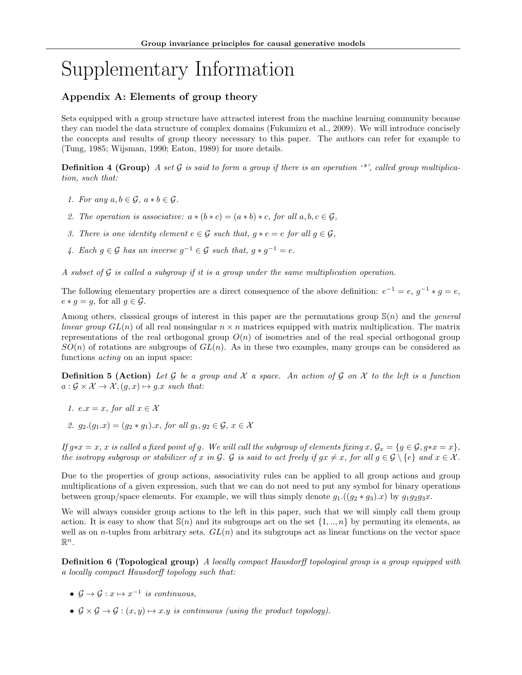# Supplementary Information

## Appendix A: Elements of group theory

Sets equipped with a group structure have attracted interest from the machine learning community because they can model the data structure of complex domains (Fukumizu et al., 2009). We will introduce concisely the concepts and results of group theory necessary to this paper. The authors can refer for example to (Tung, 1985; Wijsman, 1990; Eaton, 1989) for more details.

**Definition 4 (Group)** A set G is said to form a group if there is an operation  $\cdot^*$ , called group multiplication, such that:

- 1. For any  $a, b \in \mathcal{G}$ ,  $a * b \in \mathcal{G}$ .
- 2. The operation is associative:  $a * (b * c) = (a * b) * c$ , for all  $a, b, c \in G$ .
- 3. There is one identity element  $e \in \mathcal{G}$  such that,  $g * e = e$  for all  $g \in \mathcal{G}$ ,
- 4. Each  $g \in \mathcal{G}$  has an inverse  $g^{-1} \in \mathcal{G}$  such that,  $g * g^{-1} = e$ .

A subset of  $\mathcal G$  is called a subgroup if it is a group under the same multiplication operation.

The following elementary properties are a direct consequence of the above definition:  $e^{-1} = e$ ,  $g^{-1} * g = e$ ,  $e * q = q$ , for all  $q \in \mathcal{G}$ .

Among others, classical groups of interest in this paper are the permutations group  $\mathcal{S}(n)$  and the *general linear group*  $GL(n)$  of all real nonsingular  $n \times n$  matrices equipped with matrix multiplication. The matrix representations of the real orthogonal group  $O(n)$  of isometries and of the real special orthogonal group  $SO(n)$  of rotations are subgroups of  $GL(n)$ . As in these two examples, many groups can be considered as functions acting on an input space:

**Definition 5 (Action)** Let  $G$  be a group and  $X$  a space. An action of  $G$  on  $X$  to the left is a function  $a: \mathcal{G} \times \mathcal{X} \to \mathcal{X}, (g, x) \mapsto g.x \text{ such that:}$ 

- 1.  $e.x = x$ , for all  $x \in \mathcal{X}$
- 2.  $g_2.(g_1.x) = (g_2 * g_1).x$ , for all  $g_1, g_2 \in \mathcal{G}, x \in \mathcal{X}$

If  $g*x = x$ , x is called a fixed point of g. We will call the subgroup of elements fixing  $x, \mathcal{G}_x = \{g \in \mathcal{G}, g*x = x\}$ , the isotropy subgroup or stabilizer of x in G. G is said to act freely if  $gx \neq x$ , for all  $g \in \mathcal{G} \setminus \{e\}$  and  $x \in \mathcal{X}$ .

Due to the properties of group actions, associativity rules can be applied to all group actions and group multiplications of a given expression, such that we can do not need to put any symbol for binary operations between group/space elements. For example, we will thus simply denote  $g_1$ .( $(g_2 * g_3)x$ ) by  $g_1g_2g_3x$ .

We will always consider group actions to the left in this paper, such that we will simply call them group action. It is easy to show that  $\mathbb{S}(n)$  and its subgroups act on the set  $\{1, ..., n\}$  by permuting its elements, as well as on *n*-tuples from arbitrary sets.  $GL(n)$  and its subgroups act as linear functions on the vector space  $\mathbb{R}^n$ .

<span id="page-0-0"></span>**Definition 6 (Topological group)** A locally compact Hausdorff topological group is a group equipped with a locally compact Hausdorff topology such that:

- $\mathcal{G} \to \mathcal{G} : x \mapsto x^{-1}$  is continuous,
- $\mathcal{G} \times \mathcal{G} \rightarrow \mathcal{G} : (x, y) \mapsto x.y$  is continuous (using the product topology).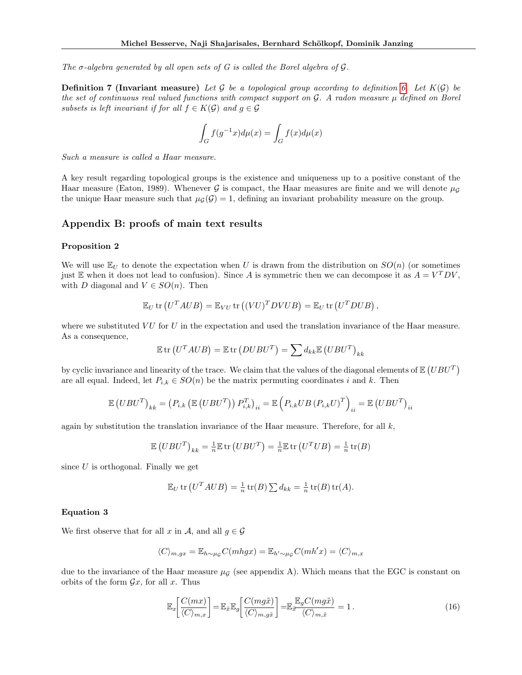The  $\sigma$ -algebra generated by all open sets of G is called the Borel algebra of G.

**Definition 7 (Invariant measure)** Let G be a topological group according to definition [6.](#page-0-0) Let  $K(\mathcal{G})$  be the set of continuous real valued functions with compact support on  $\mathcal{G}$ . A radon measure  $\mu$  defined on Borel subsets is left invariant if for all  $f \in K(\mathcal{G})$  and  $g \in \mathcal{G}$ 

$$
\int_G f(g^{-1}x)d\mu(x) = \int_G f(x)d\mu(x)
$$

Such a measure is called a Haar measure.

A key result regarding topological groups is the existence and uniqueness up to a positive constant of the Haar measure (Eaton, 1989). Whenever G is compact, the Haar measures are finite and we will denote  $\mu_G$ the unique Haar measure such that  $\mu_{\mathcal{G}}(\mathcal{G}) = 1$ , defining an invariant probability measure on the group.

### Appendix B: proofs of main text results

#### Proposition 2

We will use  $\mathbb{E}_U$  to denote the expectation when U is drawn from the distribution on  $SO(n)$  (or sometimes just E when it does not lead to confusion). Since A is symmetric then we can decompose it as  $A = V^T D V$ , with D diagonal and  $V \in SO(n)$ . Then

$$
\mathbb{E}_U \text{ tr} (U^T A U B) = \mathbb{E}_{VU} \text{ tr} ((VU)^T D V U B) = \mathbb{E}_U \text{ tr} (U^T D U B),
$$

where we substituted  $VU$  for U in the expectation and used the translation invariance of the Haar measure. As a consequence,

$$
\mathbb{E} \operatorname{tr} (U^T A U B) = \mathbb{E} \operatorname{tr} (D U B U^T) = \sum d_{kk} \mathbb{E} (U B U^T)_{kk}
$$

by cyclic invariance and linearity of the trace. We claim that the values of the diagonal elements of  $\mathbb{E}(UBU^T)$ are all equal. Indeed, let  $P_{i,k} \in SO(n)$  be the matrix permuting coordinates i and k. Then

$$
\mathbb{E}\left( UBU^{T}\right) _{kk}=\left( P_{i,k}\left( \mathbb{E}\left( UBU^{T}\right) \right) P_{i,k}^{T}\right) _{ii}=\mathbb{E}\left( P_{i,k}UB\left( P_{i,k}U\right) ^{T}\right) _{ii}=\mathbb{E}\left( UBU^{T}\right) _{ii}
$$

again by substitution the translation invariance of the Haar measure. Therefore, for all  $k$ ,

$$
\mathbb{E}\left( UBU^{T}\right) _{kk}=\tfrac{1}{n}\mathbb{E}\operatorname{tr}\left( UBU^{T}\right) =\tfrac{1}{n}\mathbb{E}\operatorname{tr}\left( U^{T}UB\right) =\tfrac{1}{n}\operatorname{tr}(B)
$$

since  $U$  is orthogonal. Finally we get

$$
\mathbb{E}_U \text{ tr} (U^T A U B) = \frac{1}{n} \text{ tr}(B) \sum d_{kk} = \frac{1}{n} \text{ tr}(B) \text{ tr}(A).
$$

#### Equation 3

We first observe that for all x in A, and all  $q \in \mathcal{G}$ 

$$
\langle C \rangle_{m,gx} = \mathbb{E}_{h \sim \mu_{\mathcal{G}}} C(mhgx) = \mathbb{E}_{h' \sim \mu_{\mathcal{G}}} C(mh'x) = \langle C \rangle_{m,x}
$$

due to the invariance of the Haar measure  $\mu_{\mathcal{G}}$  (see appendix A). Which means that the EGC is constant on orbits of the form  $\mathcal{G}x$ , for all x. Thus

$$
\mathbb{E}_x \left[ \frac{C(mx)}{\langle C \rangle_{m,x}} \right] = \mathbb{E}_{\tilde{x}} \mathbb{E}_g \left[ \frac{C(mg\tilde{x})}{\langle C \rangle_{m,g\tilde{x}}} \right] = \mathbb{E}_{\tilde{x}} \frac{\mathbb{E}_g C(mg\tilde{x})}{\langle C \rangle_{m,\tilde{x}}} = 1.
$$
\n(16)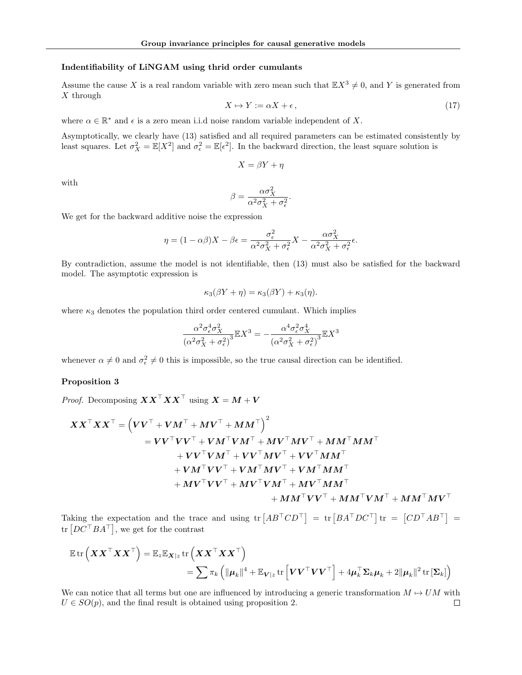#### Indentifiability of LiNGAM using thrid order cumulants

Assume the cause X is a real random variable with zero mean such that  $\mathbb{E}X^3 \neq 0$ , and Y is generated from X through

$$
X \mapsto Y := \alpha X + \epsilon, \tag{17}
$$

where  $\alpha \in \mathbb{R}^*$  and  $\epsilon$  is a zero mean i.i.d noise random variable independent of X.

Asymptotically, we clearly have (13) satisfied and all required parameters can be estimated consistently by least squares. Let  $\sigma_X^2 = \mathbb{E}[X^2]$  and  $\sigma_{\epsilon}^2 = \mathbb{E}[\epsilon^2]$ . In the backward direction, the least square solution is

$$
X = \beta Y + \eta
$$

with

$$
\beta = \frac{\alpha \sigma_X^2}{\alpha^2 \sigma_X^2 + \sigma_\epsilon^2}
$$

.

We get for the backward additive noise the expression

$$
\eta = (1 - \alpha \beta)X - \beta \epsilon = \frac{\sigma_{\epsilon}^2}{\alpha^2 \sigma_X^2 + \sigma_{\epsilon}^2} X - \frac{\alpha \sigma_X^2}{\alpha^2 \sigma_X^2 + \sigma_{\epsilon}^2} \epsilon.
$$

By contradiction, assume the model is not identifiable, then (13) must also be satisfied for the backward model. The asymptotic expression is

$$
\kappa_3(\beta Y + \eta) = \kappa_3(\beta Y) + \kappa_3(\eta).
$$

where  $\kappa_3$  denotes the population third order centered cumulant. Which implies

$$
\frac{\alpha^2 \sigma_{\epsilon}^4 \sigma_X^2}{\left(\alpha^2 \sigma_X^2 + \sigma_{\epsilon}^2\right)^3} \mathbb{E} X^3 = -\frac{\alpha^4 \sigma_{\epsilon}^2 \sigma_X^4}{\left(\alpha^2 \sigma_X^2 + \sigma_{\epsilon}^2\right)^3} \mathbb{E} X^3
$$

whenever  $\alpha \neq 0$  and  $\sigma_{\epsilon}^2 \neq 0$  this is impossible, so the true causal direction can be identified.

#### Proposition 3

*Proof.* Decomposing  $\boldsymbol{X} \boldsymbol{X}^{\top} \boldsymbol{X} \boldsymbol{X}^{\top}$  using  $\boldsymbol{X} = \boldsymbol{M} + \boldsymbol{V}$ 

$$
\begin{aligned} \boldsymbol{XX}^\top \boldsymbol{XX}^\top &= \left( \boldsymbol{V} \boldsymbol{V}^\top + \boldsymbol{V} \boldsymbol{M}^\top + \boldsymbol{M} \boldsymbol{V}^\top + \boldsymbol{M} \boldsymbol{M}^\top \right)^2 \\ &= \boldsymbol{V} \boldsymbol{V}^\top \boldsymbol{V} \boldsymbol{V}^\top + \boldsymbol{V} \boldsymbol{M}^\top \boldsymbol{V} \boldsymbol{M}^\top + \boldsymbol{M} \boldsymbol{V}^\top \boldsymbol{M} \boldsymbol{V}^\top + \boldsymbol{M} \boldsymbol{M}^\top \boldsymbol{M} \boldsymbol{M}^\top \\ & \quad + \boldsymbol{V} \boldsymbol{V}^\top \boldsymbol{V} \boldsymbol{M}^\top + \boldsymbol{V} \boldsymbol{V}^\top \boldsymbol{M} \boldsymbol{V}^\top + \boldsymbol{V} \boldsymbol{V}^\top \boldsymbol{M} \boldsymbol{M}^\top \\ & \quad + \boldsymbol{V} \boldsymbol{M}^\top \boldsymbol{V} \boldsymbol{V}^\top + \boldsymbol{V} \boldsymbol{M}^\top \boldsymbol{M} \boldsymbol{V}^\top + \boldsymbol{V} \boldsymbol{M}^\top \boldsymbol{M} \boldsymbol{M}^\top \\ & \quad + \boldsymbol{M} \boldsymbol{V}^\top \boldsymbol{V} \boldsymbol{V}^\top + \boldsymbol{M} \boldsymbol{V}^\top \boldsymbol{V} \boldsymbol{M}^\top + \boldsymbol{M} \boldsymbol{V}^\top \boldsymbol{M} \boldsymbol{M}^\top \\ & \quad + \boldsymbol{M} \boldsymbol{M}^\top \boldsymbol{V} \boldsymbol{V}^\top + \boldsymbol{M} \boldsymbol{M}^\top \boldsymbol{V} \boldsymbol{M}^\top + \boldsymbol{M} \boldsymbol{M}^\top \boldsymbol{V} \boldsymbol{M}^\top + \boldsymbol{M} \boldsymbol{M}^\top \boldsymbol{V} \boldsymbol{M}^\top + \boldsymbol{M} \boldsymbol{M}^\top \boldsymbol{V} \boldsymbol{M}^\top + \boldsymbol{M} \boldsymbol{M}^\top \boldsymbol{V} \boldsymbol{M}^\top + \boldsymbol{M} \boldsymbol{M}^\top \boldsymbol{V} \boldsymbol{M}^\top + \boldsymbol{M} \boldsymbol{M}^\top \boldsymbol{V} \boldsymbol{M}^\top + \boldsymbol{M} \boldsymbol{M}^\top \boldsymbol{V} \boldsymbol{M}^\top + \boldsymbol{M} \boldsymbol{M}^\top \bold
$$

Taking the expectation and the trace and using  $\text{tr}\left[A B^{\top} C D^{\top}\right] = \text{tr}\left[BA^{\top} D C^{\top}\right] \text{tr} = \left[CD^{\top} AB^{\top}\right] =$ tr  $[DC^{\top}BA^{\top}]$ , we get for the contrast

$$
\mathbb{E} \operatorname{tr} \left( \boldsymbol{X} \boldsymbol{X}^\top \boldsymbol{X} \boldsymbol{X}^\top \right) = \mathbb{E}_{z} \mathbb{E}_{\boldsymbol{X} | z} \operatorname{tr} \left( \boldsymbol{X} \boldsymbol{X}^\top \boldsymbol{X} \boldsymbol{X}^\top \right) = \sum \pi_k \left( \|\boldsymbol{\mu}_k\|^4 + \mathbb{E}_{\boldsymbol{V} | z} \operatorname{tr} \left[ \boldsymbol{V} \boldsymbol{V}^\top \boldsymbol{V} \boldsymbol{V}^\top \right] + 4 \boldsymbol{\mu}_k^\top \boldsymbol{\Sigma}_k \boldsymbol{\mu}_k + 2 \|\boldsymbol{\mu}_k\|^2 \operatorname{tr} \left[ \boldsymbol{\Sigma}_k \right] \right)
$$

We can notice that all terms but one are influenced by introducing a generic transformation  $M \mapsto UM$  with  $U \in SO(p)$ , and the final result is obtained using proposition 2.  $\Box$